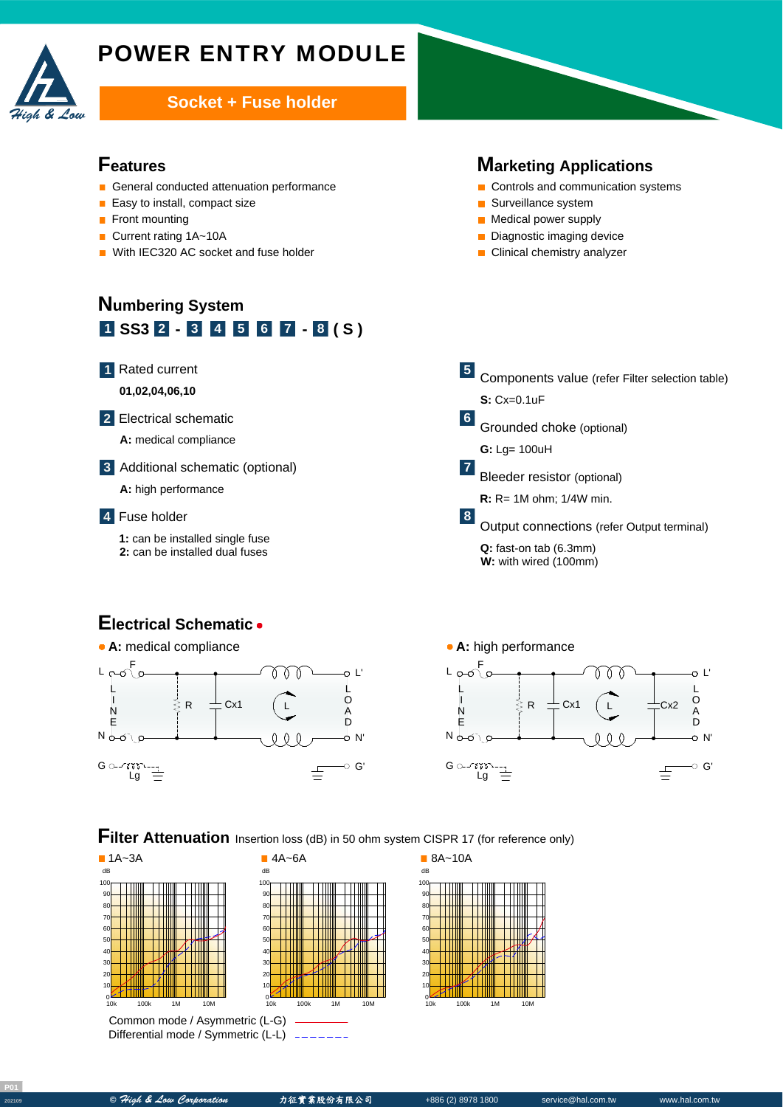

# POWER ENTRY MODULE

#### **Socket + Fuse holder**

#### **Features**

- General conducted attenuation performance
- $\blacksquare$  Easy to install, compact size
- **Front mounting**
- Current rating 1A~10A
- With IEC320 AC socket and fuse holder

# **Numbering System 1 SS3 - - ( S ) 2 3 4 5 6 7 8**

#### Rated current **1**

**01,02,04,06,10**

Electrical schematic **2**



Additional schematic (optional) **3**

**A:** high performance

#### Fuse holder **4**

**1:** can be installed single fuse **2:** can be installed dual fuses

#### **Marketing Applications**

- Controls and communication systems
- Surveillance system
- **Medical power supply**
- Diagnostic imaging device
- **Clinical chemistry analyzer**

Components value (refer Filter selection table) **S:** Cx=0.1uF Grounded choke (optional) A **G:** Lg= 100uH Bleeder resistor (optional) **R:** R= 1M ohm; 1/4W min. Output connections (refer Output terminal) Q: fast-on tab (6.3mm) **W:** with wired (100mm) **5 6 7 8**

## **Electrical Schematic**





**Filter Attenuation** Insertion loss (dB) in 50 ohm system CISPR 17 (for reference only)



Common mode / Asymmetric (L-G) Differential mode / Symmetric (L-L)





10k 100k 1M 10M